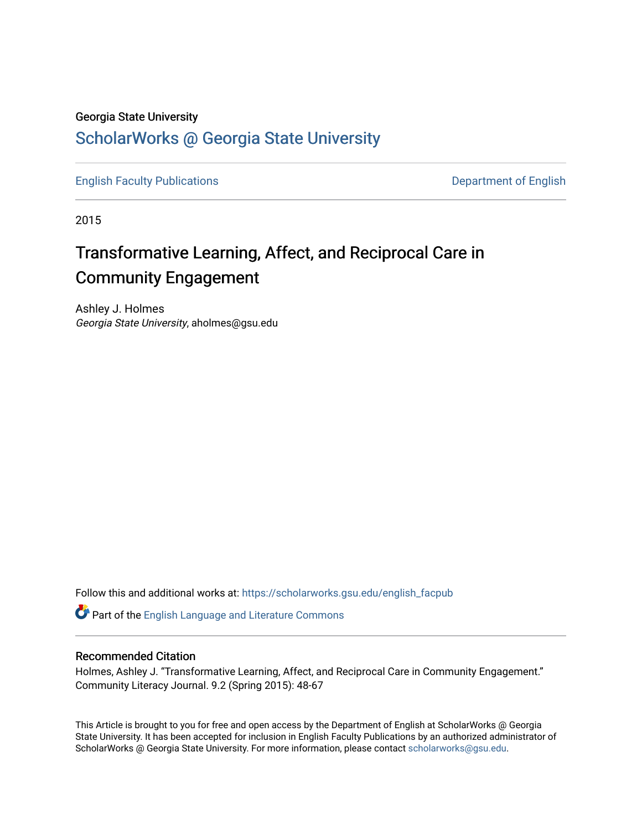#### Georgia State University

# [ScholarWorks @ Georgia State University](https://scholarworks.gsu.edu/)

[English Faculty Publications](https://scholarworks.gsu.edu/english_facpub) **Department of English** 

2015

# Transformative Learning, Affect, and Reciprocal Care in Community Engagement

Ashley J. Holmes Georgia State University, aholmes@gsu.edu

Follow this and additional works at: [https://scholarworks.gsu.edu/english\\_facpub](https://scholarworks.gsu.edu/english_facpub?utm_source=scholarworks.gsu.edu%2Fenglish_facpub%2F25&utm_medium=PDF&utm_campaign=PDFCoverPages)

Part of the [English Language and Literature Commons](http://network.bepress.com/hgg/discipline/455?utm_source=scholarworks.gsu.edu%2Fenglish_facpub%2F25&utm_medium=PDF&utm_campaign=PDFCoverPages)

#### Recommended Citation

Holmes, Ashley J. "Transformative Learning, Affect, and Reciprocal Care in Community Engagement." Community Literacy Journal. 9.2 (Spring 2015): 48-67

This Article is brought to you for free and open access by the Department of English at ScholarWorks @ Georgia State University. It has been accepted for inclusion in English Faculty Publications by an authorized administrator of ScholarWorks @ Georgia State University. For more information, please contact [scholarworks@gsu.edu](mailto:scholarworks@gsu.edu).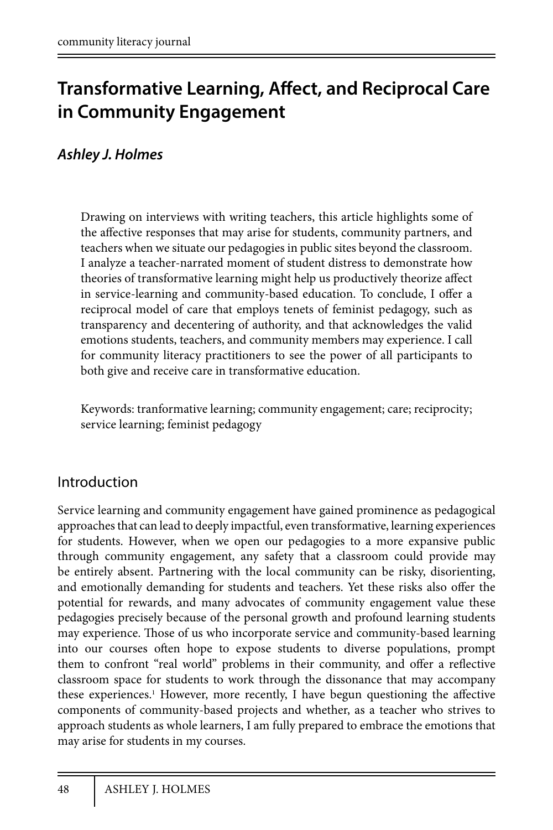# **Transformative Learning, Affect, and Reciprocal Care in Community Engagement**

# *Ashley J. Holmes*

Drawing on interviews with writing teachers, this article highlights some of the affective responses that may arise for students, community partners, and teachers when we situate our pedagogies in public sites beyond the classroom. I analyze a teacher-narrated moment of student distress to demonstrate how theories of transformative learning might help us productively theorize affect in service-learning and community-based education. To conclude, I offer a reciprocal model of care that employs tenets of feminist pedagogy, such as transparency and decentering of authority, and that acknowledges the valid emotions students, teachers, and community members may experience. I call for community literacy practitioners to see the power of all participants to both give and receive care in transformative education.

Keywords: tranformative learning; community engagement; care; reciprocity; service learning; feminist pedagogy

## Introduction

Service learning and community engagement have gained prominence as pedagogical approaches that can lead to deeply impactful, even transformative, learning experiences for students. However, when we open our pedagogies to a more expansive public through community engagement, any safety that a classroom could provide may be entirely absent. Partnering with the local community can be risky, disorienting, and emotionally demanding for students and teachers. Yet these risks also offer the potential for rewards, and many advocates of community engagement value these pedagogies precisely because of the personal growth and profound learning students may experience. Those of us who incorporate service and community-based learning into our courses often hope to expose students to diverse populations, prompt them to confront "real world" problems in their community, and offer a reflective classroom space for students to work through the dissonance that may accompany these experiences.<sup>1</sup> However, more recently, I have begun questioning the affective components of community-based projects and whether, as a teacher who strives to approach students as whole learners, I am fully prepared to embrace the emotions that may arise for students in my courses.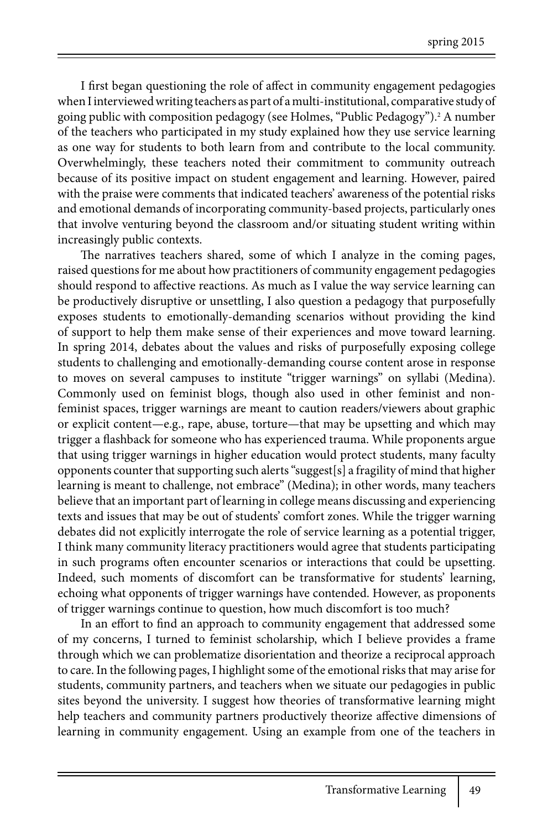I first began questioning the role of affect in community engagement pedagogies when I interviewed writing teachers as part of a multi-institutional, comparative study of going public with composition pedagogy (see Holmes, "Public Pedagogy").<sup>2</sup> A number of the teachers who participated in my study explained how they use service learning as one way for students to both learn from and contribute to the local community. Overwhelmingly, these teachers noted their commitment to community outreach because of its positive impact on student engagement and learning. However, paired with the praise were comments that indicated teachers' awareness of the potential risks and emotional demands of incorporating community-based projects, particularly ones that involve venturing beyond the classroom and/or situating student writing within increasingly public contexts.

The narratives teachers shared, some of which I analyze in the coming pages, raised questions for me about how practitioners of community engagement pedagogies should respond to affective reactions. As much as I value the way service learning can be productively disruptive or unsettling, I also question a pedagogy that purposefully exposes students to emotionally-demanding scenarios without providing the kind of support to help them make sense of their experiences and move toward learning. In spring 2014, debates about the values and risks of purposefully exposing college students to challenging and emotionally-demanding course content arose in response to moves on several campuses to institute "trigger warnings" on syllabi (Medina). Commonly used on feminist blogs, though also used in other feminist and nonfeminist spaces, trigger warnings are meant to caution readers/viewers about graphic or explicit content—e.g., rape, abuse, torture—that may be upsetting and which may trigger a flashback for someone who has experienced trauma. While proponents argue that using trigger warnings in higher education would protect students, many faculty opponents counter that supporting such alerts "suggest[s] a fragility of mind that higher learning is meant to challenge, not embrace" (Medina); in other words, many teachers believe that an important part of learning in college means discussing and experiencing texts and issues that may be out of students' comfort zones. While the trigger warning debates did not explicitly interrogate the role of service learning as a potential trigger, I think many community literacy practitioners would agree that students participating in such programs often encounter scenarios or interactions that could be upsetting. Indeed, such moments of discomfort can be transformative for students' learning, echoing what opponents of trigger warnings have contended. However, as proponents of trigger warnings continue to question, how much discomfort is too much?

In an effort to find an approach to community engagement that addressed some of my concerns, I turned to feminist scholarship, which I believe provides a frame through which we can problematize disorientation and theorize a reciprocal approach to care. In the following pages, I highlight some of the emotional risks that may arise for students, community partners, and teachers when we situate our pedagogies in public sites beyond the university. I suggest how theories of transformative learning might help teachers and community partners productively theorize affective dimensions of learning in community engagement. Using an example from one of the teachers in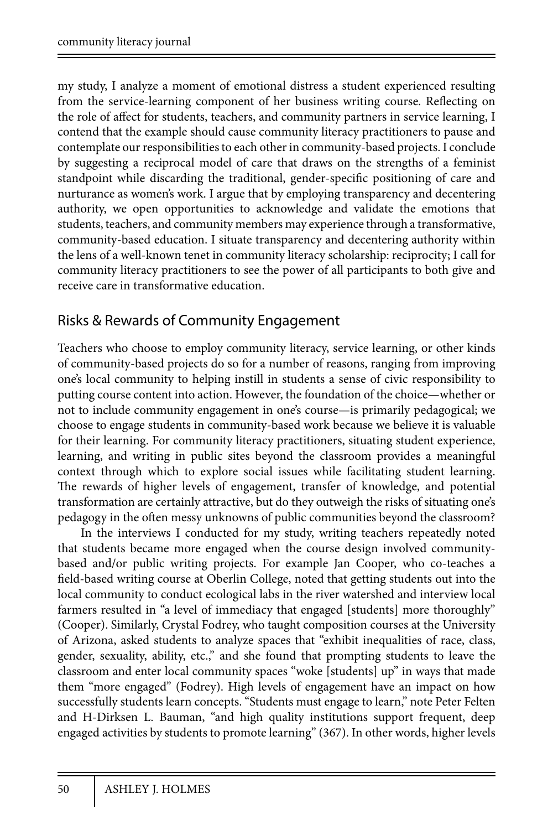my study, I analyze a moment of emotional distress a student experienced resulting from the service-learning component of her business writing course. Reflecting on the role of affect for students, teachers, and community partners in service learning, I contend that the example should cause community literacy practitioners to pause and contemplate our responsibilities to each other in community-based projects. I conclude by suggesting a reciprocal model of care that draws on the strengths of a feminist standpoint while discarding the traditional, gender-specific positioning of care and nurturance as women's work. I argue that by employing transparency and decentering authority, we open opportunities to acknowledge and validate the emotions that students, teachers, and community members may experience through a transformative, community-based education. I situate transparency and decentering authority within the lens of a well-known tenet in community literacy scholarship: reciprocity; I call for community literacy practitioners to see the power of all participants to both give and receive care in transformative education.

# Risks & Rewards of Community Engagement

Teachers who choose to employ community literacy, service learning, or other kinds of community-based projects do so for a number of reasons, ranging from improving one's local community to helping instill in students a sense of civic responsibility to putting course content into action. However, the foundation of the choice—whether or not to include community engagement in one's course—is primarily pedagogical; we choose to engage students in community-based work because we believe it is valuable for their learning. For community literacy practitioners, situating student experience, learning, and writing in public sites beyond the classroom provides a meaningful context through which to explore social issues while facilitating student learning. The rewards of higher levels of engagement, transfer of knowledge, and potential transformation are certainly attractive, but do they outweigh the risks of situating one's pedagogy in the often messy unknowns of public communities beyond the classroom?

In the interviews I conducted for my study, writing teachers repeatedly noted that students became more engaged when the course design involved communitybased and/or public writing projects. For example Jan Cooper, who co-teaches a field-based writing course at Oberlin College, noted that getting students out into the local community to conduct ecological labs in the river watershed and interview local farmers resulted in "a level of immediacy that engaged [students] more thoroughly" (Cooper). Similarly, Crystal Fodrey, who taught composition courses at the University of Arizona, asked students to analyze spaces that "exhibit inequalities of race, class, gender, sexuality, ability, etc.," and she found that prompting students to leave the classroom and enter local community spaces "woke [students] up" in ways that made them "more engaged" (Fodrey). High levels of engagement have an impact on how successfully students learn concepts. "Students must engage to learn," note Peter Felten and H-Dirksen L. Bauman, "and high quality institutions support frequent, deep engaged activities by students to promote learning" (367). In other words, higher levels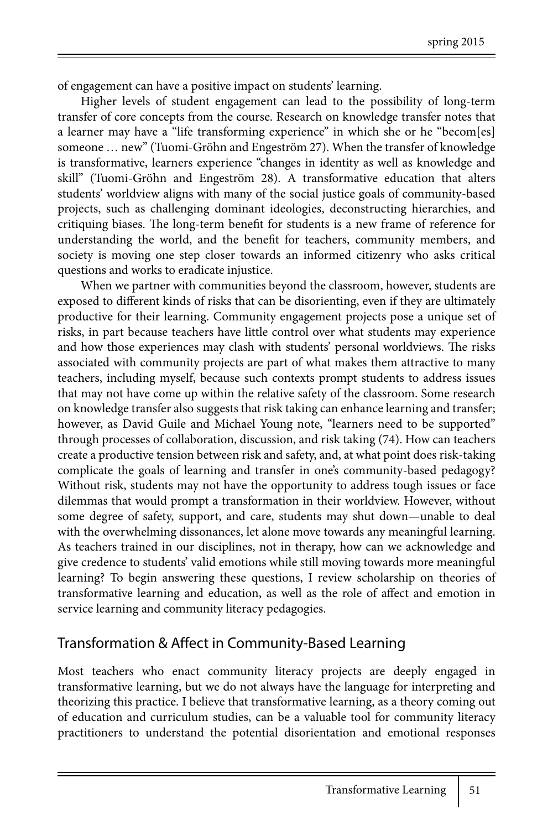of engagement can have a positive impact on students' learning.

Higher levels of student engagement can lead to the possibility of long-term transfer of core concepts from the course. Research on knowledge transfer notes that a learner may have a "life transforming experience" in which she or he "becom[es] someone … new" (Tuomi-Gröhn and Engeström 27). When the transfer of knowledge is transformative, learners experience "changes in identity as well as knowledge and skill" (Tuomi-Gröhn and Engeström 28). A transformative education that alters students' worldview aligns with many of the social justice goals of community-based projects, such as challenging dominant ideologies, deconstructing hierarchies, and critiquing biases. The long-term benefit for students is a new frame of reference for understanding the world, and the benefit for teachers, community members, and society is moving one step closer towards an informed citizenry who asks critical questions and works to eradicate injustice.

When we partner with communities beyond the classroom, however, students are exposed to different kinds of risks that can be disorienting, even if they are ultimately productive for their learning. Community engagement projects pose a unique set of risks, in part because teachers have little control over what students may experience and how those experiences may clash with students' personal worldviews. The risks associated with community projects are part of what makes them attractive to many teachers, including myself, because such contexts prompt students to address issues that may not have come up within the relative safety of the classroom. Some research on knowledge transfer also suggests that risk taking can enhance learning and transfer; however, as David Guile and Michael Young note, "learners need to be supported" through processes of collaboration, discussion, and risk taking (74). How can teachers create a productive tension between risk and safety, and, at what point does risk-taking complicate the goals of learning and transfer in one's community-based pedagogy? Without risk, students may not have the opportunity to address tough issues or face dilemmas that would prompt a transformation in their worldview. However, without some degree of safety, support, and care, students may shut down—unable to deal with the overwhelming dissonances, let alone move towards any meaningful learning. As teachers trained in our disciplines, not in therapy, how can we acknowledge and give credence to students' valid emotions while still moving towards more meaningful learning? To begin answering these questions, I review scholarship on theories of transformative learning and education, as well as the role of affect and emotion in service learning and community literacy pedagogies.

## Transformation & Affect in Community-Based Learning

Most teachers who enact community literacy projects are deeply engaged in transformative learning, but we do not always have the language for interpreting and theorizing this practice. I believe that transformative learning, as a theory coming out of education and curriculum studies, can be a valuable tool for community literacy practitioners to understand the potential disorientation and emotional responses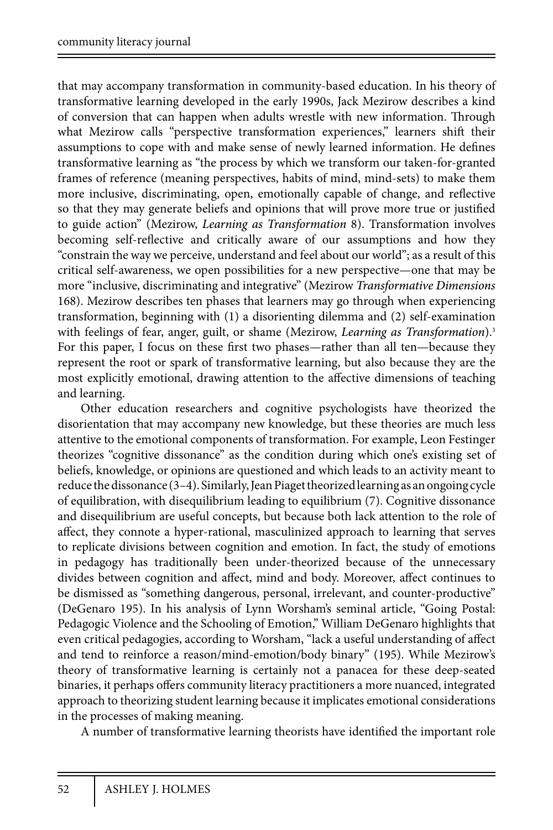that may accompany transformation in community-based education. In his theory of transformative learning developed in the early 1990s, Jack Mezirow describes a kind of conversion that can happen when adults wrestle with new information. Through what Mezirow calls "perspective transformation experiences," learners shift their assumptions to cope with and make sense of newly learned information. He defines transformative learning as "the process by which we transform our taken-for-granted frames of reference (meaning perspectives, habits of mind, mind-sets) to make them more inclusive, discriminating, open, emotionally capable of change, and reflective so that they may generate beliefs and opinions that will prove more true or justified to guide action" (Mezirow, *Learning as Transformation* 8). Transformation involves becoming self-reflective and critically aware of our assumptions and how they "constrain the way we perceive, understand and feel about our world"; as a result of this critical self-awareness, we open possibilities for a new perspective—one that may be more "inclusive, discriminating and integrative" (Mezirow *Transformative Dimensions*  168). Mezirow describes ten phases that learners may go through when experiencing transformation, beginning with (1) a disorienting dilemma and (2) self-examination with feelings of fear, anger, guilt, or shame (Mezirow, *Learning as Transformation*).<sup>3</sup> For this paper, I focus on these first two phases—rather than all ten—because they represent the root or spark of transformative learning, but also because they are the most explicitly emotional, drawing attention to the affective dimensions of teaching and learning.

Other education researchers and cognitive psychologists have theorized the disorientation that may accompany new knowledge, but these theories are much less attentive to the emotional components of transformation. For example, Leon Festinger theorizes "cognitive dissonance" as the condition during which one's existing set of beliefs, knowledge, or opinions are questioned and which leads to an activity meant to reduce the dissonance (3–4). Similarly, Jean Piaget theorized learning as an ongoing cycle of equilibration, with disequilibrium leading to equilibrium (7). Cognitive dissonance and disequilibrium are useful concepts, but because both lack attention to the role of affect, they connote a hyper-rational, masculinized approach to learning that serves to replicate divisions between cognition and emotion. In fact, the study of emotions in pedagogy has traditionally been under-theorized because of the unnecessary divides between cognition and affect, mind and body. Moreover, affect continues to be dismissed as "something dangerous, personal, irrelevant, and counter-productive" (DeGenaro 195). In his analysis of Lynn Worsham's seminal article, "Going Postal: Pedagogic Violence and the Schooling of Emotion," William DeGenaro highlights that even critical pedagogies, according to Worsham, "lack a useful understanding of affect and tend to reinforce a reason/mind-emotion/body binary" (195). While Mezirow's theory of transformative learning is certainly not a panacea for these deep-seated binaries, it perhaps offers community literacy practitioners a more nuanced, integrated approach to theorizing student learning because it implicates emotional considerations in the processes of making meaning.

A number of transformative learning theorists have identified the important role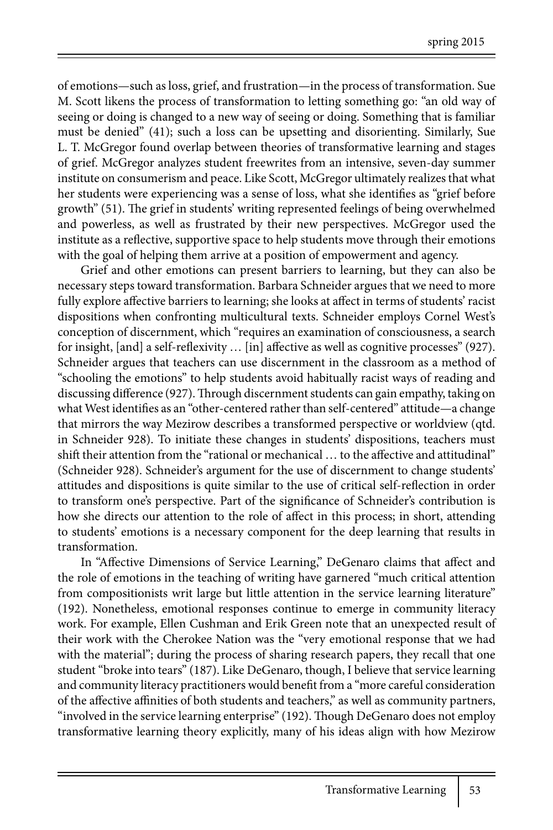of emotions—such as loss, grief, and frustration—in the process of transformation. Sue M. Scott likens the process of transformation to letting something go: "an old way of seeing or doing is changed to a new way of seeing or doing. Something that is familiar must be denied" (41); such a loss can be upsetting and disorienting. Similarly, Sue L. T. McGregor found overlap between theories of transformative learning and stages of grief. McGregor analyzes student freewrites from an intensive, seven-day summer institute on consumerism and peace. Like Scott, McGregor ultimately realizes that what her students were experiencing was a sense of loss, what she identifies as "grief before growth" (51). The grief in students' writing represented feelings of being overwhelmed and powerless, as well as frustrated by their new perspectives. McGregor used the institute as a reflective, supportive space to help students move through their emotions with the goal of helping them arrive at a position of empowerment and agency.

Grief and other emotions can present barriers to learning, but they can also be necessary steps toward transformation. Barbara Schneider argues that we need to more fully explore affective barriers to learning; she looks at affect in terms of students' racist dispositions when confronting multicultural texts. Schneider employs Cornel West's conception of discernment, which "requires an examination of consciousness, a search for insight, [and] a self-reflexivity … [in] affective as well as cognitive processes" (927). Schneider argues that teachers can use discernment in the classroom as a method of "schooling the emotions" to help students avoid habitually racist ways of reading and discussing difference (927). Through discernment students can gain empathy, taking on what West identifies as an "other-centered rather than self-centered" attitude—a change that mirrors the way Mezirow describes a transformed perspective or worldview (qtd. in Schneider 928). To initiate these changes in students' dispositions, teachers must shift their attention from the "rational or mechanical … to the affective and attitudinal" (Schneider 928). Schneider's argument for the use of discernment to change students' attitudes and dispositions is quite similar to the use of critical self-reflection in order to transform one's perspective. Part of the significance of Schneider's contribution is how she directs our attention to the role of affect in this process; in short, attending to students' emotions is a necessary component for the deep learning that results in transformation.

In "Affective Dimensions of Service Learning," DeGenaro claims that affect and the role of emotions in the teaching of writing have garnered "much critical attention from compositionists writ large but little attention in the service learning literature" (192). Nonetheless, emotional responses continue to emerge in community literacy work. For example, Ellen Cushman and Erik Green note that an unexpected result of their work with the Cherokee Nation was the "very emotional response that we had with the material"; during the process of sharing research papers, they recall that one student "broke into tears" (187). Like DeGenaro, though, I believe that service learning and community literacy practitioners would benefit from a "more careful consideration of the affective affinities of both students and teachers," as well as community partners, "involved in the service learning enterprise" (192). Though DeGenaro does not employ transformative learning theory explicitly, many of his ideas align with how Mezirow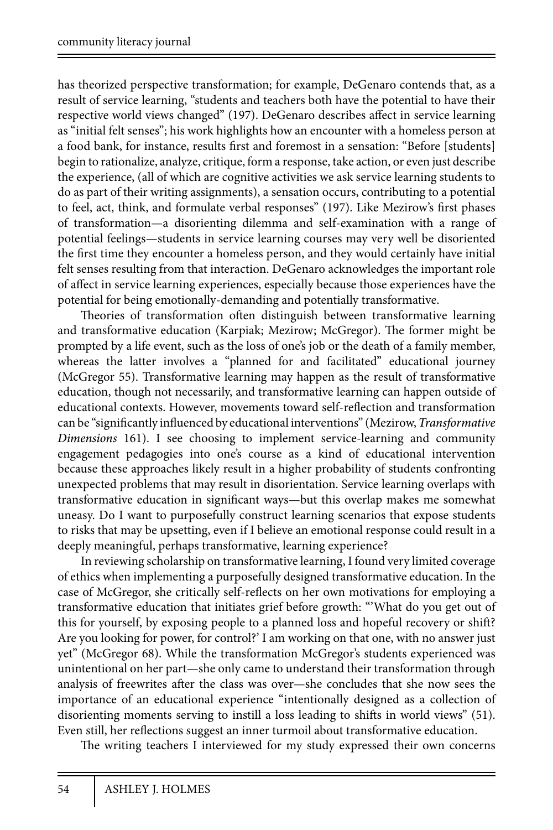has theorized perspective transformation; for example, DeGenaro contends that, as a result of service learning, "students and teachers both have the potential to have their respective world views changed" (197). DeGenaro describes affect in service learning as "initial felt senses"; his work highlights how an encounter with a homeless person at a food bank, for instance, results first and foremost in a sensation: "Before [students] begin to rationalize, analyze, critique, form a response, take action, or even just describe the experience, (all of which are cognitive activities we ask service learning students to do as part of their writing assignments), a sensation occurs, contributing to a potential to feel, act, think, and formulate verbal responses" (197). Like Mezirow's first phases of transformation—a disorienting dilemma and self-examination with a range of potential feelings—students in service learning courses may very well be disoriented the first time they encounter a homeless person, and they would certainly have initial felt senses resulting from that interaction. DeGenaro acknowledges the important role of affect in service learning experiences, especially because those experiences have the potential for being emotionally-demanding and potentially transformative.

Theories of transformation often distinguish between transformative learning and transformative education (Karpiak; Mezirow; McGregor). The former might be prompted by a life event, such as the loss of one's job or the death of a family member, whereas the latter involves a "planned for and facilitated" educational journey (McGregor 55). Transformative learning may happen as the result of transformative education, though not necessarily, and transformative learning can happen outside of educational contexts. However, movements toward self-reflection and transformation can be "significantly influenced by educational interventions" (Mezirow, *Transformative Dimensions* 161). I see choosing to implement service-learning and community engagement pedagogies into one's course as a kind of educational intervention because these approaches likely result in a higher probability of students confronting unexpected problems that may result in disorientation. Service learning overlaps with transformative education in significant ways—but this overlap makes me somewhat uneasy. Do I want to purposefully construct learning scenarios that expose students to risks that may be upsetting, even if I believe an emotional response could result in a deeply meaningful, perhaps transformative, learning experience?

In reviewing scholarship on transformative learning, I found very limited coverage of ethics when implementing a purposefully designed transformative education. In the case of McGregor, she critically self-reflects on her own motivations for employing a transformative education that initiates grief before growth: "'What do you get out of this for yourself, by exposing people to a planned loss and hopeful recovery or shift? Are you looking for power, for control?' I am working on that one, with no answer just yet" (McGregor 68). While the transformation McGregor's students experienced was unintentional on her part—she only came to understand their transformation through analysis of freewrites after the class was over—she concludes that she now sees the importance of an educational experience "intentionally designed as a collection of disorienting moments serving to instill a loss leading to shifts in world views" (51). Even still, her reflections suggest an inner turmoil about transformative education.

The writing teachers I interviewed for my study expressed their own concerns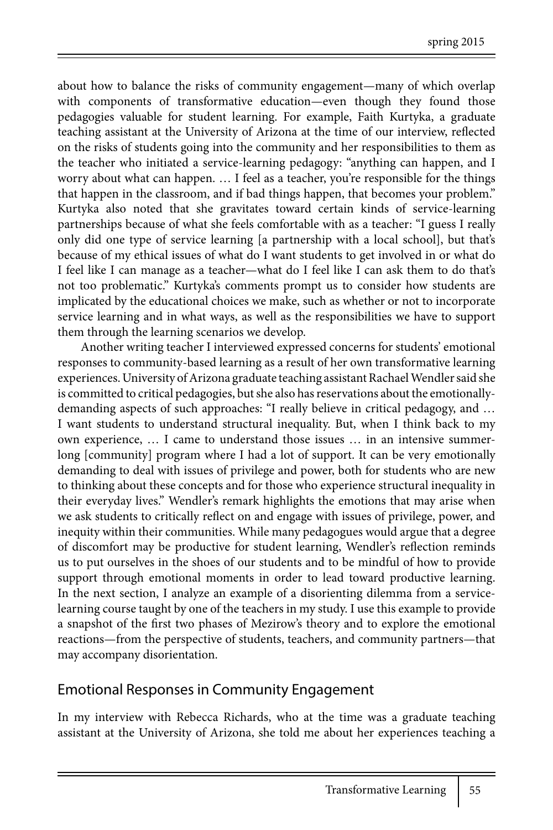about how to balance the risks of community engagement—many of which overlap with components of transformative education—even though they found those pedagogies valuable for student learning. For example, Faith Kurtyka, a graduate teaching assistant at the University of Arizona at the time of our interview, reflected on the risks of students going into the community and her responsibilities to them as the teacher who initiated a service-learning pedagogy: "anything can happen, and I worry about what can happen. … I feel as a teacher, you're responsible for the things that happen in the classroom, and if bad things happen, that becomes your problem." Kurtyka also noted that she gravitates toward certain kinds of service-learning partnerships because of what she feels comfortable with as a teacher: "I guess I really only did one type of service learning [a partnership with a local school], but that's because of my ethical issues of what do I want students to get involved in or what do I feel like I can manage as a teacher—what do I feel like I can ask them to do that's not too problematic." Kurtyka's comments prompt us to consider how students are implicated by the educational choices we make, such as whether or not to incorporate service learning and in what ways, as well as the responsibilities we have to support them through the learning scenarios we develop.

Another writing teacher I interviewed expressed concerns for students' emotional responses to community-based learning as a result of her own transformative learning experiences. University of Arizona graduate teaching assistant Rachael Wendler said she is committed to critical pedagogies, but she also has reservations about the emotionallydemanding aspects of such approaches: "I really believe in critical pedagogy, and … I want students to understand structural inequality. But, when I think back to my own experience, … I came to understand those issues … in an intensive summerlong [community] program where I had a lot of support. It can be very emotionally demanding to deal with issues of privilege and power, both for students who are new to thinking about these concepts and for those who experience structural inequality in their everyday lives." Wendler's remark highlights the emotions that may arise when we ask students to critically reflect on and engage with issues of privilege, power, and inequity within their communities. While many pedagogues would argue that a degree of discomfort may be productive for student learning, Wendler's reflection reminds us to put ourselves in the shoes of our students and to be mindful of how to provide support through emotional moments in order to lead toward productive learning. In the next section, I analyze an example of a disorienting dilemma from a servicelearning course taught by one of the teachers in my study. I use this example to provide a snapshot of the first two phases of Mezirow's theory and to explore the emotional reactions—from the perspective of students, teachers, and community partners—that may accompany disorientation.

## Emotional Responses in Community Engagement

In my interview with Rebecca Richards, who at the time was a graduate teaching assistant at the University of Arizona, she told me about her experiences teaching a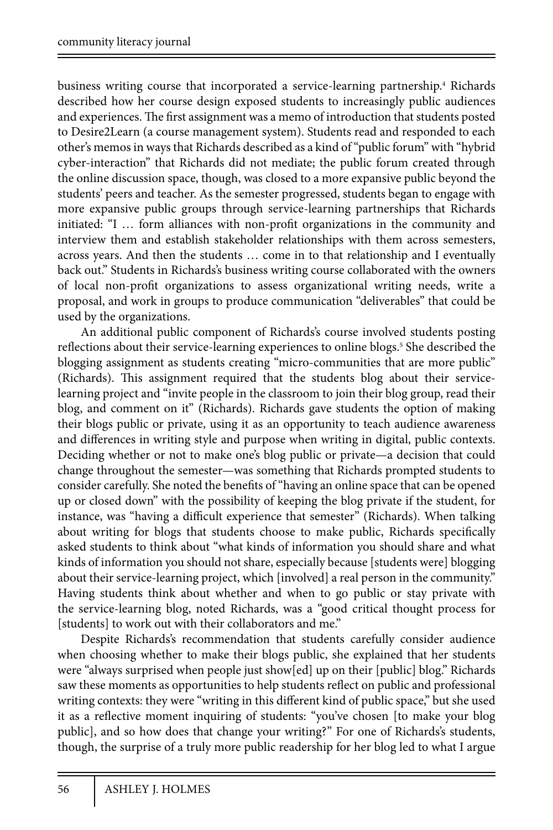business writing course that incorporated a service-learning partnership.<sup>4</sup> Richards described how her course design exposed students to increasingly public audiences and experiences. The first assignment was a memo of introduction that students posted to Desire2Learn (a course management system). Students read and responded to each other's memos in ways that Richards described as a kind of "public forum" with "hybrid cyber-interaction" that Richards did not mediate; the public forum created through the online discussion space, though, was closed to a more expansive public beyond the students' peers and teacher. As the semester progressed, students began to engage with more expansive public groups through service-learning partnerships that Richards initiated: "I … form alliances with non-profit organizations in the community and interview them and establish stakeholder relationships with them across semesters, across years. And then the students … come in to that relationship and I eventually back out." Students in Richards's business writing course collaborated with the owners of local non-profit organizations to assess organizational writing needs, write a proposal, and work in groups to produce communication "deliverables" that could be used by the organizations.

An additional public component of Richards's course involved students posting reflections about their service-learning experiences to online blogs.<sup>5</sup> She described the blogging assignment as students creating "micro-communities that are more public" (Richards). This assignment required that the students blog about their servicelearning project and "invite people in the classroom to join their blog group, read their blog, and comment on it" (Richards). Richards gave students the option of making their blogs public or private, using it as an opportunity to teach audience awareness and differences in writing style and purpose when writing in digital, public contexts. Deciding whether or not to make one's blog public or private—a decision that could change throughout the semester—was something that Richards prompted students to consider carefully. She noted the benefits of "having an online space that can be opened up or closed down" with the possibility of keeping the blog private if the student, for instance, was "having a difficult experience that semester" (Richards). When talking about writing for blogs that students choose to make public, Richards specifically asked students to think about "what kinds of information you should share and what kinds of information you should not share, especially because [students were] blogging about their service-learning project, which [involved] a real person in the community." Having students think about whether and when to go public or stay private with the service-learning blog, noted Richards, was a "good critical thought process for [students] to work out with their collaborators and me."

Despite Richards's recommendation that students carefully consider audience when choosing whether to make their blogs public, she explained that her students were "always surprised when people just show[ed] up on their [public] blog." Richards saw these moments as opportunities to help students reflect on public and professional writing contexts: they were "writing in this different kind of public space," but she used it as a reflective moment inquiring of students: "you've chosen [to make your blog public], and so how does that change your writing?" For one of Richards's students, though, the surprise of a truly more public readership for her blog led to what I argue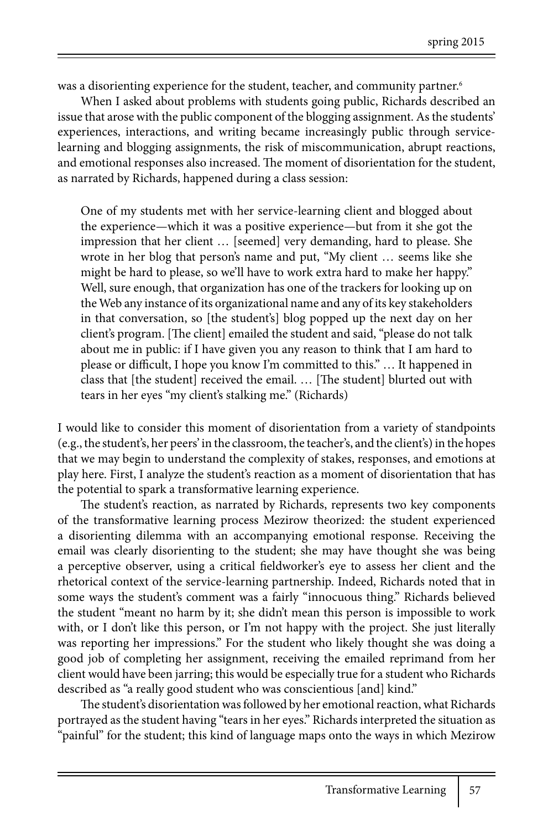was a disorienting experience for the student, teacher, and community partner.<sup>6</sup>

When I asked about problems with students going public, Richards described an issue that arose with the public component of the blogging assignment. As the students' experiences, interactions, and writing became increasingly public through servicelearning and blogging assignments, the risk of miscommunication, abrupt reactions, and emotional responses also increased. The moment of disorientation for the student, as narrated by Richards, happened during a class session:

One of my students met with her service-learning client and blogged about the experience—which it was a positive experience—but from it she got the impression that her client … [seemed] very demanding, hard to please. She wrote in her blog that person's name and put, "My client … seems like she might be hard to please, so we'll have to work extra hard to make her happy." Well, sure enough, that organization has one of the trackers for looking up on the Web any instance of its organizational name and any of its key stakeholders in that conversation, so [the student's] blog popped up the next day on her client's program. [The client] emailed the student and said, "please do not talk about me in public: if I have given you any reason to think that I am hard to please or difficult, I hope you know I'm committed to this." … It happened in class that [the student] received the email. … [The student] blurted out with tears in her eyes "my client's stalking me." (Richards)

I would like to consider this moment of disorientation from a variety of standpoints (e.g., the student's, her peers' in the classroom, the teacher's, and the client's) in the hopes that we may begin to understand the complexity of stakes, responses, and emotions at play here. First, I analyze the student's reaction as a moment of disorientation that has the potential to spark a transformative learning experience.

The student's reaction, as narrated by Richards, represents two key components of the transformative learning process Mezirow theorized: the student experienced a disorienting dilemma with an accompanying emotional response. Receiving the email was clearly disorienting to the student; she may have thought she was being a perceptive observer, using a critical fieldworker's eye to assess her client and the rhetorical context of the service-learning partnership. Indeed, Richards noted that in some ways the student's comment was a fairly "innocuous thing." Richards believed the student "meant no harm by it; she didn't mean this person is impossible to work with, or I don't like this person, or I'm not happy with the project. She just literally was reporting her impressions." For the student who likely thought she was doing a good job of completing her assignment, receiving the emailed reprimand from her client would have been jarring; this would be especially true for a student who Richards described as "a really good student who was conscientious [and] kind."

The student's disorientation was followed by her emotional reaction, what Richards portrayed as the student having "tears in her eyes." Richards interpreted the situation as "painful" for the student; this kind of language maps onto the ways in which Mezirow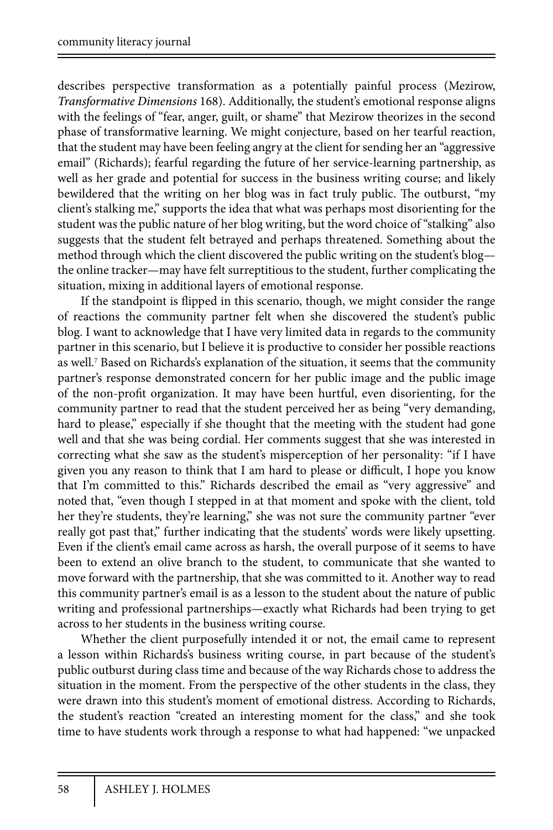describes perspective transformation as a potentially painful process (Mezirow, *Transformative Dimensions* 168). Additionally, the student's emotional response aligns with the feelings of "fear, anger, guilt, or shame" that Mezirow theorizes in the second phase of transformative learning. We might conjecture, based on her tearful reaction, that the student may have been feeling angry at the client for sending her an "aggressive email" (Richards); fearful regarding the future of her service-learning partnership, as well as her grade and potential for success in the business writing course; and likely bewildered that the writing on her blog was in fact truly public. The outburst, "my client's stalking me," supports the idea that what was perhaps most disorienting for the student was the public nature of her blog writing, but the word choice of "stalking" also suggests that the student felt betrayed and perhaps threatened. Something about the method through which the client discovered the public writing on the student's blog the online tracker—may have felt surreptitious to the student, further complicating the situation, mixing in additional layers of emotional response.

If the standpoint is flipped in this scenario, though, we might consider the range of reactions the community partner felt when she discovered the student's public blog. I want to acknowledge that I have very limited data in regards to the community partner in this scenario, but I believe it is productive to consider her possible reactions as well.<sup>7</sup> Based on Richards's explanation of the situation, it seems that the community partner's response demonstrated concern for her public image and the public image of the non-profit organization. It may have been hurtful, even disorienting, for the community partner to read that the student perceived her as being "very demanding, hard to please," especially if she thought that the meeting with the student had gone well and that she was being cordial. Her comments suggest that she was interested in correcting what she saw as the student's misperception of her personality: "if I have given you any reason to think that I am hard to please or difficult, I hope you know that I'm committed to this." Richards described the email as "very aggressive" and noted that, "even though I stepped in at that moment and spoke with the client, told her they're students, they're learning," she was not sure the community partner "ever really got past that," further indicating that the students' words were likely upsetting. Even if the client's email came across as harsh, the overall purpose of it seems to have been to extend an olive branch to the student, to communicate that she wanted to move forward with the partnership, that she was committed to it. Another way to read this community partner's email is as a lesson to the student about the nature of public writing and professional partnerships—exactly what Richards had been trying to get across to her students in the business writing course.

Whether the client purposefully intended it or not, the email came to represent a lesson within Richards's business writing course, in part because of the student's public outburst during class time and because of the way Richards chose to address the situation in the moment. From the perspective of the other students in the class, they were drawn into this student's moment of emotional distress. According to Richards, the student's reaction "created an interesting moment for the class," and she took time to have students work through a response to what had happened: "we unpacked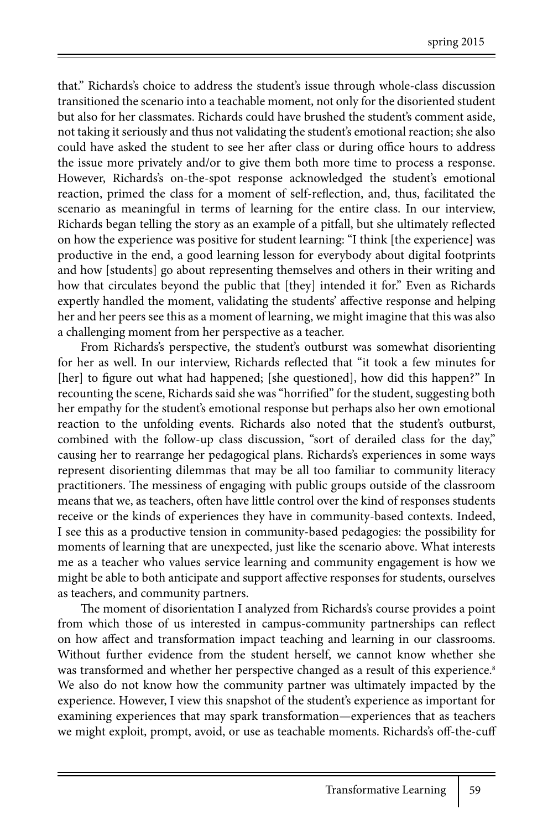that." Richards's choice to address the student's issue through whole-class discussion transitioned the scenario into a teachable moment, not only for the disoriented student but also for her classmates. Richards could have brushed the student's comment aside, not taking it seriously and thus not validating the student's emotional reaction; she also could have asked the student to see her after class or during office hours to address the issue more privately and/or to give them both more time to process a response. However, Richards's on-the-spot response acknowledged the student's emotional reaction, primed the class for a moment of self-reflection, and, thus, facilitated the scenario as meaningful in terms of learning for the entire class. In our interview, Richards began telling the story as an example of a pitfall, but she ultimately reflected on how the experience was positive for student learning: "I think [the experience] was productive in the end, a good learning lesson for everybody about digital footprints and how [students] go about representing themselves and others in their writing and how that circulates beyond the public that [they] intended it for." Even as Richards expertly handled the moment, validating the students' affective response and helping her and her peers see this as a moment of learning, we might imagine that this was also a challenging moment from her perspective as a teacher.

From Richards's perspective, the student's outburst was somewhat disorienting for her as well. In our interview, Richards reflected that "it took a few minutes for [her] to figure out what had happened; [she questioned], how did this happen?" In recounting the scene, Richards said she was "horrified" for the student, suggesting both her empathy for the student's emotional response but perhaps also her own emotional reaction to the unfolding events. Richards also noted that the student's outburst, combined with the follow-up class discussion, "sort of derailed class for the day," causing her to rearrange her pedagogical plans. Richards's experiences in some ways represent disorienting dilemmas that may be all too familiar to community literacy practitioners. The messiness of engaging with public groups outside of the classroom means that we, as teachers, often have little control over the kind of responses students receive or the kinds of experiences they have in community-based contexts. Indeed, I see this as a productive tension in community-based pedagogies: the possibility for moments of learning that are unexpected, just like the scenario above. What interests me as a teacher who values service learning and community engagement is how we might be able to both anticipate and support affective responses for students, ourselves as teachers, and community partners.

The moment of disorientation I analyzed from Richards's course provides a point from which those of us interested in campus-community partnerships can reflect on how affect and transformation impact teaching and learning in our classrooms. Without further evidence from the student herself, we cannot know whether she was transformed and whether her perspective changed as a result of this experience.<sup>8</sup> We also do not know how the community partner was ultimately impacted by the experience. However, I view this snapshot of the student's experience as important for examining experiences that may spark transformation—experiences that as teachers we might exploit, prompt, avoid, or use as teachable moments. Richards's off-the-cuff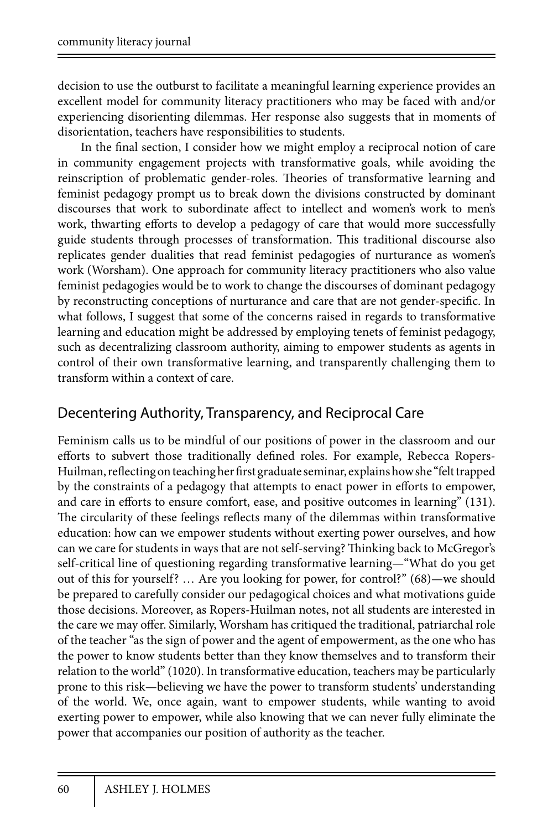decision to use the outburst to facilitate a meaningful learning experience provides an excellent model for community literacy practitioners who may be faced with and/or experiencing disorienting dilemmas. Her response also suggests that in moments of disorientation, teachers have responsibilities to students.

In the final section, I consider how we might employ a reciprocal notion of care in community engagement projects with transformative goals, while avoiding the reinscription of problematic gender-roles. Theories of transformative learning and feminist pedagogy prompt us to break down the divisions constructed by dominant discourses that work to subordinate affect to intellect and women's work to men's work, thwarting efforts to develop a pedagogy of care that would more successfully guide students through processes of transformation. This traditional discourse also replicates gender dualities that read feminist pedagogies of nurturance as women's work (Worsham). One approach for community literacy practitioners who also value feminist pedagogies would be to work to change the discourses of dominant pedagogy by reconstructing conceptions of nurturance and care that are not gender-specific. In what follows, I suggest that some of the concerns raised in regards to transformative learning and education might be addressed by employing tenets of feminist pedagogy, such as decentralizing classroom authority, aiming to empower students as agents in control of their own transformative learning, and transparently challenging them to transform within a context of care.

#### Decentering Authority, Transparency, and Reciprocal Care

Feminism calls us to be mindful of our positions of power in the classroom and our efforts to subvert those traditionally defined roles. For example, Rebecca Ropers-Huilman, reflecting on teaching her first graduate seminar, explains how she "felt trapped by the constraints of a pedagogy that attempts to enact power in efforts to empower, and care in efforts to ensure comfort, ease, and positive outcomes in learning" (131). The circularity of these feelings reflects many of the dilemmas within transformative education: how can we empower students without exerting power ourselves, and how can we care for students in ways that are not self-serving? Thinking back to McGregor's self-critical line of questioning regarding transformative learning—"What do you get out of this for yourself? … Are you looking for power, for control?" (68)—we should be prepared to carefully consider our pedagogical choices and what motivations guide those decisions. Moreover, as Ropers-Huilman notes, not all students are interested in the care we may offer. Similarly, Worsham has critiqued the traditional, patriarchal role of the teacher "as the sign of power and the agent of empowerment, as the one who has the power to know students better than they know themselves and to transform their relation to the world" (1020). In transformative education, teachers may be particularly prone to this risk—believing we have the power to transform students' understanding of the world. We, once again, want to empower students, while wanting to avoid exerting power to empower, while also knowing that we can never fully eliminate the power that accompanies our position of authority as the teacher.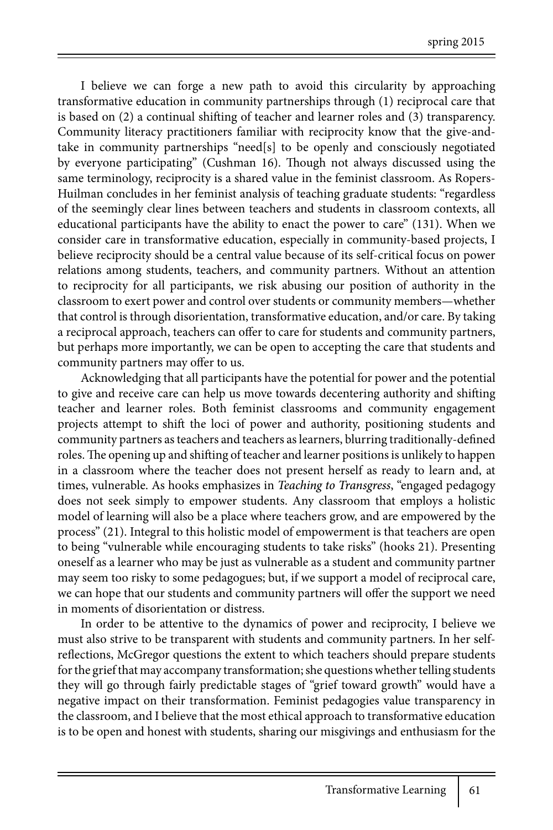I believe we can forge a new path to avoid this circularity by approaching transformative education in community partnerships through (1) reciprocal care that is based on (2) a continual shifting of teacher and learner roles and (3) transparency. Community literacy practitioners familiar with reciprocity know that the give-andtake in community partnerships "need[s] to be openly and consciously negotiated by everyone participating" (Cushman 16). Though not always discussed using the same terminology, reciprocity is a shared value in the feminist classroom. As Ropers-Huilman concludes in her feminist analysis of teaching graduate students: "regardless of the seemingly clear lines between teachers and students in classroom contexts, all educational participants have the ability to enact the power to care" (131). When we consider care in transformative education, especially in community-based projects, I believe reciprocity should be a central value because of its self-critical focus on power relations among students, teachers, and community partners. Without an attention to reciprocity for all participants, we risk abusing our position of authority in the classroom to exert power and control over students or community members—whether that control is through disorientation, transformative education, and/or care. By taking a reciprocal approach, teachers can offer to care for students and community partners, but perhaps more importantly, we can be open to accepting the care that students and community partners may offer to us.

Acknowledging that all participants have the potential for power and the potential to give and receive care can help us move towards decentering authority and shifting teacher and learner roles. Both feminist classrooms and community engagement projects attempt to shift the loci of power and authority, positioning students and community partners as teachers and teachers as learners, blurring traditionally-defined roles. The opening up and shifting of teacher and learner positions is unlikely to happen in a classroom where the teacher does not present herself as ready to learn and, at times, vulnerable. As hooks emphasizes in *Teaching to Transgress*, "engaged pedagogy does not seek simply to empower students. Any classroom that employs a holistic model of learning will also be a place where teachers grow, and are empowered by the process" (21). Integral to this holistic model of empowerment is that teachers are open to being "vulnerable while encouraging students to take risks" (hooks 21). Presenting oneself as a learner who may be just as vulnerable as a student and community partner may seem too risky to some pedagogues; but, if we support a model of reciprocal care, we can hope that our students and community partners will offer the support we need in moments of disorientation or distress.

In order to be attentive to the dynamics of power and reciprocity, I believe we must also strive to be transparent with students and community partners. In her selfreflections, McGregor questions the extent to which teachers should prepare students for the grief that may accompany transformation; she questions whether telling students they will go through fairly predictable stages of "grief toward growth" would have a negative impact on their transformation. Feminist pedagogies value transparency in the classroom, and I believe that the most ethical approach to transformative education is to be open and honest with students, sharing our misgivings and enthusiasm for the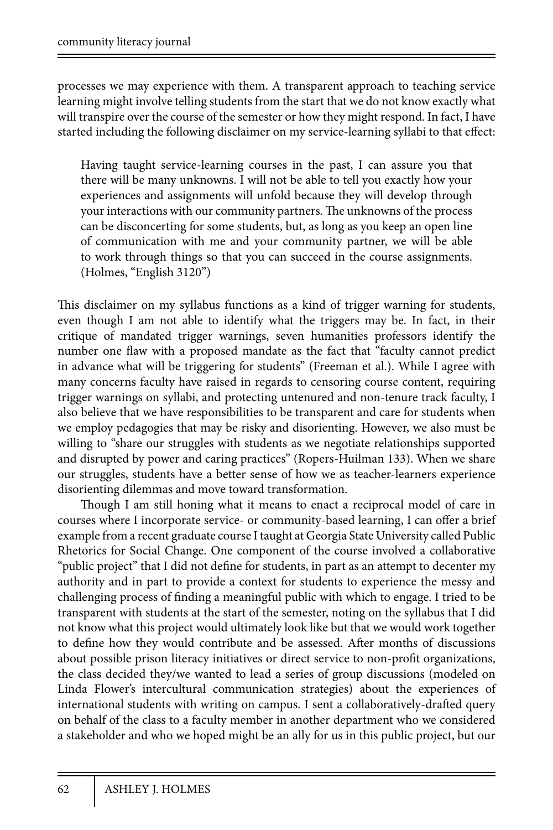processes we may experience with them. A transparent approach to teaching service learning might involve telling students from the start that we do not know exactly what will transpire over the course of the semester or how they might respond. In fact, I have started including the following disclaimer on my service-learning syllabi to that effect:

Having taught service-learning courses in the past, I can assure you that there will be many unknowns. I will not be able to tell you exactly how your experiences and assignments will unfold because they will develop through your interactions with our community partners. The unknowns of the process can be disconcerting for some students, but, as long as you keep an open line of communication with me and your community partner, we will be able to work through things so that you can succeed in the course assignments. (Holmes, "English 3120")

This disclaimer on my syllabus functions as a kind of trigger warning for students, even though I am not able to identify what the triggers may be. In fact, in their critique of mandated trigger warnings, seven humanities professors identify the number one flaw with a proposed mandate as the fact that "faculty cannot predict in advance what will be triggering for students" (Freeman et al.). While I agree with many concerns faculty have raised in regards to censoring course content, requiring trigger warnings on syllabi, and protecting untenured and non-tenure track faculty, I also believe that we have responsibilities to be transparent and care for students when we employ pedagogies that may be risky and disorienting. However, we also must be willing to "share our struggles with students as we negotiate relationships supported and disrupted by power and caring practices" (Ropers-Huilman 133). When we share our struggles, students have a better sense of how we as teacher-learners experience disorienting dilemmas and move toward transformation.

Though I am still honing what it means to enact a reciprocal model of care in courses where I incorporate service- or community-based learning, I can offer a brief example from a recent graduate course I taught at Georgia State University called Public Rhetorics for Social Change. One component of the course involved a collaborative "public project" that I did not define for students, in part as an attempt to decenter my authority and in part to provide a context for students to experience the messy and challenging process of finding a meaningful public with which to engage. I tried to be transparent with students at the start of the semester, noting on the syllabus that I did not know what this project would ultimately look like but that we would work together to define how they would contribute and be assessed. After months of discussions about possible prison literacy initiatives or direct service to non-profit organizations, the class decided they/we wanted to lead a series of group discussions (modeled on Linda Flower's intercultural communication strategies) about the experiences of international students with writing on campus. I sent a collaboratively-drafted query on behalf of the class to a faculty member in another department who we considered a stakeholder and who we hoped might be an ally for us in this public project, but our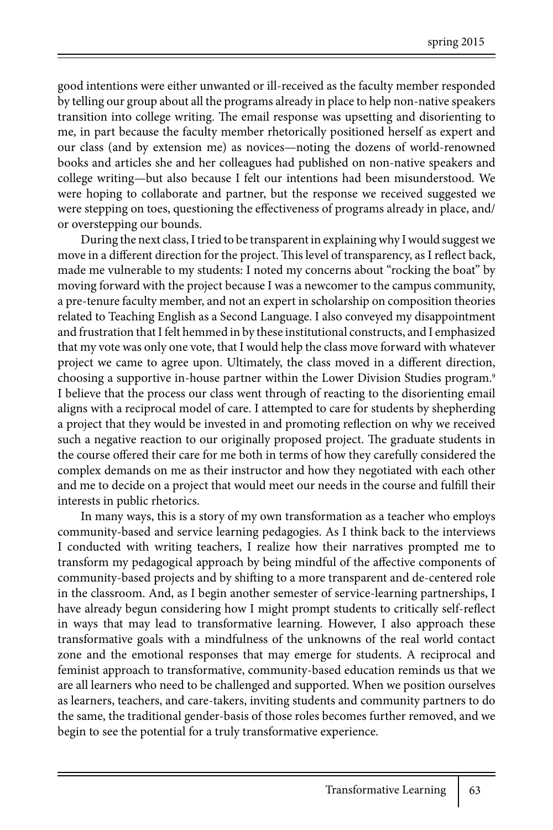good intentions were either unwanted or ill-received as the faculty member responded by telling our group about all the programs already in place to help non-native speakers transition into college writing. The email response was upsetting and disorienting to me, in part because the faculty member rhetorically positioned herself as expert and our class (and by extension me) as novices—noting the dozens of world-renowned books and articles she and her colleagues had published on non-native speakers and college writing—but also because I felt our intentions had been misunderstood. We were hoping to collaborate and partner, but the response we received suggested we were stepping on toes, questioning the effectiveness of programs already in place, and/ or overstepping our bounds.

During the next class, I tried to be transparent in explaining why I would suggest we move in a different direction for the project. This level of transparency, as I reflect back, made me vulnerable to my students: I noted my concerns about "rocking the boat" by moving forward with the project because I was a newcomer to the campus community, a pre-tenure faculty member, and not an expert in scholarship on composition theories related to Teaching English as a Second Language. I also conveyed my disappointment and frustration that I felt hemmed in by these institutional constructs, and I emphasized that my vote was only one vote, that I would help the class move forward with whatever project we came to agree upon. Ultimately, the class moved in a different direction, choosing a supportive in-house partner within the Lower Division Studies program.<sup>9</sup> I believe that the process our class went through of reacting to the disorienting email aligns with a reciprocal model of care. I attempted to care for students by shepherding a project that they would be invested in and promoting reflection on why we received such a negative reaction to our originally proposed project. The graduate students in the course offered their care for me both in terms of how they carefully considered the complex demands on me as their instructor and how they negotiated with each other and me to decide on a project that would meet our needs in the course and fulfill their interests in public rhetorics.

In many ways, this is a story of my own transformation as a teacher who employs community-based and service learning pedagogies. As I think back to the interviews I conducted with writing teachers, I realize how their narratives prompted me to transform my pedagogical approach by being mindful of the affective components of community-based projects and by shifting to a more transparent and de-centered role in the classroom. And, as I begin another semester of service-learning partnerships, I have already begun considering how I might prompt students to critically self-reflect in ways that may lead to transformative learning. However, I also approach these transformative goals with a mindfulness of the unknowns of the real world contact zone and the emotional responses that may emerge for students. A reciprocal and feminist approach to transformative, community-based education reminds us that we are all learners who need to be challenged and supported. When we position ourselves as learners, teachers, and care-takers, inviting students and community partners to do the same, the traditional gender-basis of those roles becomes further removed, and we begin to see the potential for a truly transformative experience.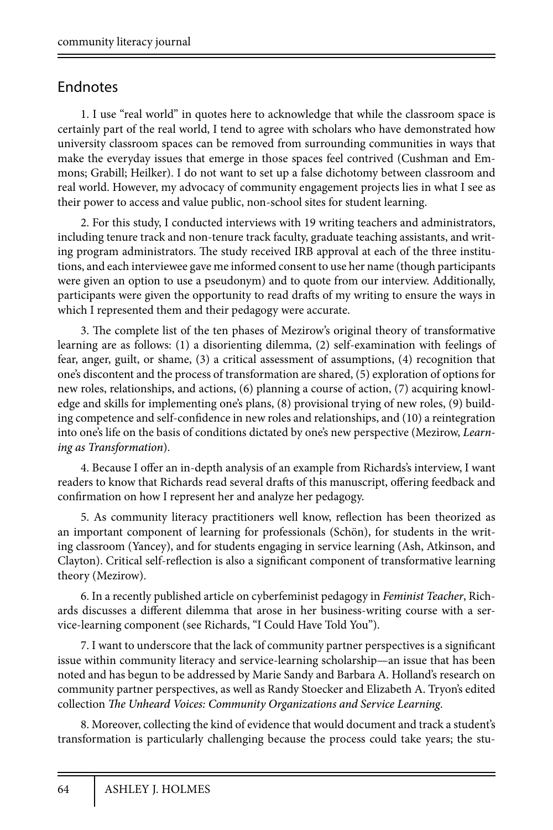## Endnotes

1. I use "real world" in quotes here to acknowledge that while the classroom space is certainly part of the real world, I tend to agree with scholars who have demonstrated how university classroom spaces can be removed from surrounding communities in ways that make the everyday issues that emerge in those spaces feel contrived (Cushman and Emmons; Grabill; Heilker). I do not want to set up a false dichotomy between classroom and real world. However, my advocacy of community engagement projects lies in what I see as their power to access and value public, non-school sites for student learning.

2. For this study, I conducted interviews with 19 writing teachers and administrators, including tenure track and non-tenure track faculty, graduate teaching assistants, and writing program administrators. The study received IRB approval at each of the three institutions, and each interviewee gave me informed consent to use her name (though participants were given an option to use a pseudonym) and to quote from our interview. Additionally, participants were given the opportunity to read drafts of my writing to ensure the ways in which I represented them and their pedagogy were accurate.

3. The complete list of the ten phases of Mezirow's original theory of transformative learning are as follows: (1) a disorienting dilemma, (2) self-examination with feelings of fear, anger, guilt, or shame, (3) a critical assessment of assumptions, (4) recognition that one's discontent and the process of transformation are shared, (5) exploration of options for new roles, relationships, and actions, (6) planning a course of action, (7) acquiring knowledge and skills for implementing one's plans, (8) provisional trying of new roles, (9) building competence and self-confidence in new roles and relationships, and (10) a reintegration into one's life on the basis of conditions dictated by one's new perspective (Mezirow, *Learning as Transformation*).

4. Because I offer an in-depth analysis of an example from Richards's interview, I want readers to know that Richards read several drafts of this manuscript, offering feedback and confirmation on how I represent her and analyze her pedagogy.

5. As community literacy practitioners well know, reflection has been theorized as an important component of learning for professionals (Schön), for students in the writing classroom (Yancey), and for students engaging in service learning (Ash, Atkinson, and Clayton). Critical self-reflection is also a significant component of transformative learning theory (Mezirow).

6. In a recently published article on cyberfeminist pedagogy in *Feminist Teacher*, Richards discusses a different dilemma that arose in her business-writing course with a service-learning component (see Richards, "I Could Have Told You").

7. I want to underscore that the lack of community partner perspectives is a significant issue within community literacy and service-learning scholarship—an issue that has been noted and has begun to be addressed by Marie Sandy and Barbara A. Holland's research on community partner perspectives, as well as Randy Stoecker and Elizabeth A. Tryon's edited collection *The Unheard Voices: Community Organizations and Service Learning*.

8. Moreover, collecting the kind of evidence that would document and track a student's transformation is particularly challenging because the process could take years; the stu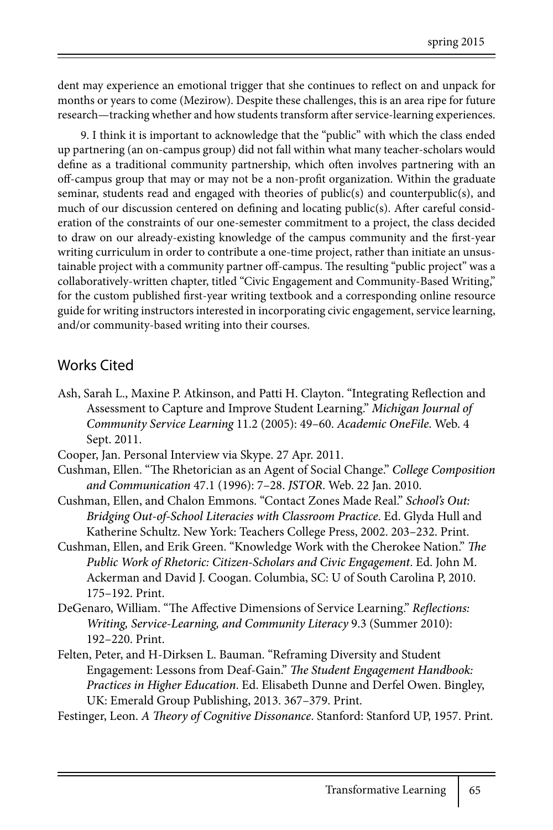dent may experience an emotional trigger that she continues to reflect on and unpack for months or years to come (Mezirow). Despite these challenges, this is an area ripe for future research—tracking whether and how students transform after service-learning experiences.

9. I think it is important to acknowledge that the "public" with which the class ended up partnering (an on-campus group) did not fall within what many teacher-scholars would define as a traditional community partnership, which often involves partnering with an off-campus group that may or may not be a non-profit organization. Within the graduate seminar, students read and engaged with theories of public(s) and counterpublic(s), and much of our discussion centered on defining and locating public(s). After careful consideration of the constraints of our one-semester commitment to a project, the class decided to draw on our already-existing knowledge of the campus community and the first-year writing curriculum in order to contribute a one-time project, rather than initiate an unsustainable project with a community partner off-campus. The resulting "public project" was a collaboratively-written chapter, titled "Civic Engagement and Community-Based Writing," for the custom published first-year writing textbook and a corresponding online resource guide for writing instructors interested in incorporating civic engagement, service learning, and/or community-based writing into their courses.

#### Works Cited

- Ash, Sarah L., Maxine P. Atkinson, and Patti H. Clayton. "Integrating Reflection and Assessment to Capture and Improve Student Learning." *Michigan Journal of Community Service Learning* 11.2 (2005): 49–60. *Academic OneFile*. Web. 4 Sept. 2011.
- Cooper, Jan. Personal Interview via Skype. 27 Apr. 2011.
- Cushman, Ellen. "The Rhetorician as an Agent of Social Change." *College Composition and Communication* 47.1 (1996): 7–28. *JSTOR*. Web. 22 Jan. 2010.
- Cushman, Ellen, and Chalon Emmons. "Contact Zones Made Real." *School's Out: Bridging Out-of-School Literacies with Classroom Practice*. Ed. Glyda Hull and Katherine Schultz. New York: Teachers College Press, 2002. 203–232. Print.
- Cushman, Ellen, and Erik Green. "Knowledge Work with the Cherokee Nation." *The Public Work of Rhetoric: Citizen-Scholars and Civic Engagement*. Ed. John M. Ackerman and David J. Coogan. Columbia, SC: U of South Carolina P, 2010. 175–192. Print.
- DeGenaro, William. "The Affective Dimensions of Service Learning." *Reflections: Writing, Service-Learning, and Community Literacy* 9.3 (Summer 2010): 192–220. Print.
- Felten, Peter, and H-Dirksen L. Bauman. "Reframing Diversity and Student Engagement: Lessons from Deaf-Gain." *The Student Engagement Handbook: Practices in Higher Education*. Ed. Elisabeth Dunne and Derfel Owen. Bingley, UK: Emerald Group Publishing, 2013. 367–379. Print.

Festinger, Leon. *A Theory of Cognitive Dissonance*. Stanford: Stanford UP, 1957. Print.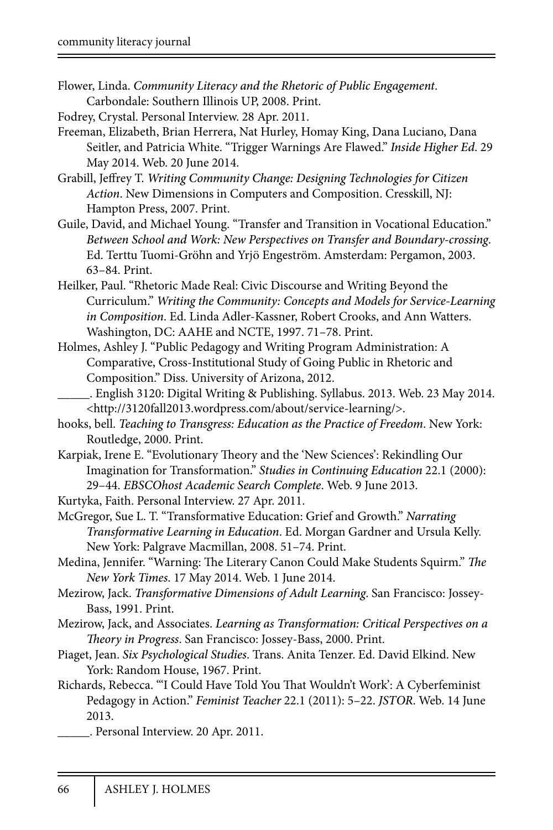- Flower, Linda. *Community Literacy and the Rhetoric of Public Engagement*. Carbondale: Southern Illinois UP, 2008. Print.
- Fodrey, Crystal. Personal Interview. 28 Apr. 2011.
- Freeman, Elizabeth, Brian Herrera, Nat Hurley, Homay King, Dana Luciano, Dana Seitler, and Patricia White. "Trigger Warnings Are Flawed." *Inside Higher Ed*. 29 May 2014. Web. 20 June 2014.
- Grabill, Jeffrey T. *Writing Community Change: Designing Technologies for Citizen Action*. New Dimensions in Computers and Composition. Cresskill, NJ: Hampton Press, 2007. Print.
- Guile, David, and Michael Young. "Transfer and Transition in Vocational Education." *Between School and Work: New Perspectives on Transfer and Boundary-crossing*. Ed. Terttu Tuomi-Gröhn and Yrjö Engeström. Amsterdam: Pergamon, 2003. 63–84. Print.
- Heilker, Paul. "Rhetoric Made Real: Civic Discourse and Writing Beyond the Curriculum." *Writing the Community: Concepts and Models for Service-Learning in Composition*. Ed. Linda Adler-Kassner, Robert Crooks, and Ann Watters. Washington, DC: AAHE and NCTE, 1997. 71–78. Print.
- Holmes, Ashley J. "Public Pedagogy and Writing Program Administration: A Comparative, Cross-Institutional Study of Going Public in Rhetoric and Composition." Diss. University of Arizona, 2012.
- \_\_\_\_\_. English 3120: Digital Writing & Publishing. Syllabus. 2013. Web. 23 May 2014. <http://3120fall2013.wordpress.com/about/service-learning/>.
- hooks, bell. *Teaching to Transgress: Education as the Practice of Freedom*. New York: Routledge, 2000. Print.
- Karpiak, Irene E. "Evolutionary Theory and the 'New Sciences': Rekindling Our Imagination for Transformation." *Studies in Continuing Education* 22.1 (2000): 29–44. *EBSCOhost Academic Search Complete*. Web. 9 June 2013.
- Kurtyka, Faith. Personal Interview. 27 Apr. 2011.
- McGregor, Sue L. T. "Transformative Education: Grief and Growth." *Narrating Transformative Learning in Education*. Ed. Morgan Gardner and Ursula Kelly. New York: Palgrave Macmillan, 2008. 51–74. Print.
- Medina, Jennifer. "Warning: The Literary Canon Could Make Students Squirm." *The New York Times*. 17 May 2014. Web. 1 June 2014.
- Mezirow, Jack. *Transformative Dimensions of Adult Learning*. San Francisco: Jossey-Bass, 1991. Print.
- Mezirow, Jack, and Associates. *Learning as Transformation: Critical Perspectives on a Theory in Progress*. San Francisco: Jossey-Bass, 2000. Print.
- Piaget, Jean. *Six Psychological Studies*. Trans. Anita Tenzer. Ed. David Elkind. New York: Random House, 1967. Print.
- Richards, Rebecca. "'I Could Have Told You That Wouldn't Work': A Cyberfeminist Pedagogy in Action." *Feminist Teacher* 22.1 (2011): 5–22. *JSTOR*. Web. 14 June 2013.
	- \_\_\_\_\_. Personal Interview. 20 Apr. 2011.